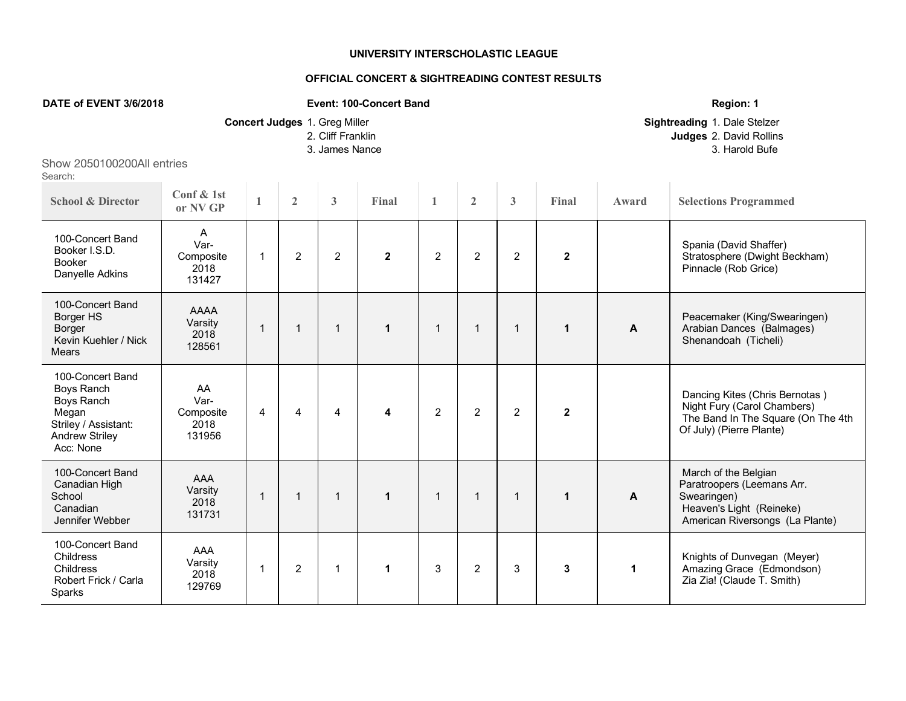## **UNIVERSITY INTERSCHOLASTIC LEAGUE**

## **OFFICIAL CONCERT & SIGHTREADING CONTEST RESULTS**

## **DATE of EVENT** 3/6/2018 **Region: 1 Event: 100-Concert Band Region: 1 Region: 1**

**Concert Judges** 1. Greg Miller **Concert Judges** 1. Greg Miller **Sightreading** 1. Dale Stelzer **Sightreading** 1. Dale Stelzer **Sightreading** 1. Dale Stelzer **Sightreading** 1. David Rollins **Judges** 2. David Rollins 3. James Nance 3. Harold Bufe 3. Harold Bufe 3. Harold Bufe 3. Harold Bufe 3. Harold Bufe 3. Harold Bufe 3. Harold Bufe 3. Harold Bufe 3. Harold Bufe 3. Harold Bufe 3. Harold Bufe 3. Harold Bufe 3. Harold Bufe 3. Harold Bu

## Show 2050100200All entries Search:

| <b>School &amp; Director</b>                                                                                                      | Conf & 1st<br>or NV GP                    | 1              | $\overline{2}$ | 3              | Final        | $\mathbf{1}$   | $\overline{2}$ | 3              | Final          | Award | <b>Selections Programmed</b>                                                                                                     |
|-----------------------------------------------------------------------------------------------------------------------------------|-------------------------------------------|----------------|----------------|----------------|--------------|----------------|----------------|----------------|----------------|-------|----------------------------------------------------------------------------------------------------------------------------------|
| 100-Concert Band<br>Booker I.S.D.<br><b>Booker</b><br>Danyelle Adkins                                                             | A<br>Var-<br>Composite<br>2018<br>131427  | -1             | $\overline{2}$ | $\overline{2}$ | $\mathbf{2}$ | $\overline{c}$ | $\overline{2}$ | $\overline{2}$ | $\overline{2}$ |       | Spania (David Shaffer)<br>Stratosphere (Dwight Beckham)<br>Pinnacle (Rob Grice)                                                  |
| 100-Concert Band<br>Borger HS<br>Borger<br>Kevin Kuehler / Nick<br><b>Mears</b>                                                   | <b>AAAA</b><br>Varsity<br>2018<br>128561  | $\mathbf{1}$   | $\mathbf 1$    |                | $\mathbf{1}$ | $\mathbf 1$    | $\mathbf{1}$   | $\mathbf{1}$   | $\mathbf{1}$   | A     | Peacemaker (King/Swearingen)<br>Arabian Dances (Balmages)<br>Shenandoah (Ticheli)                                                |
| 100-Concert Band<br><b>Boys Ranch</b><br><b>Boys Ranch</b><br>Megan<br>Striley / Assistant:<br><b>Andrew Striley</b><br>Acc: None | AA<br>Var-<br>Composite<br>2018<br>131956 | $\overline{4}$ | $\overline{4}$ | 4              | 4            | $\overline{c}$ | $\overline{2}$ | $\overline{2}$ | $\mathbf{2}$   |       | Dancing Kites (Chris Bernotas)<br>Night Fury (Carol Chambers)<br>The Band In The Square (On The 4th<br>Of July) (Pierre Plante)  |
| 100-Concert Band<br>Canadian High<br>School<br>Canadian<br>Jennifer Webber                                                        | AAA<br>Varsity<br>2018<br>131731          | 1              | 1              |                | $\mathbf{1}$ | 1              | $\mathbf 1$    | -1             | $\mathbf 1$    | A     | March of the Belgian<br>Paratroopers (Leemans Arr.<br>Swearingen)<br>Heaven's Light (Reineke)<br>American Riversongs (La Plante) |
| 100-Concert Band<br>Childress<br>Childress<br>Robert Frick / Carla<br><b>Sparks</b>                                               | AAA<br>Varsity<br>2018<br>129769          | 1              | $\overline{2}$ |                | $\mathbf{1}$ | 3              | $\overline{2}$ | 3              | 3              | 1     | Knights of Dunvegan (Meyer)<br>Amazing Grace (Edmondson)<br>Zia Zia! (Claude T. Smith)                                           |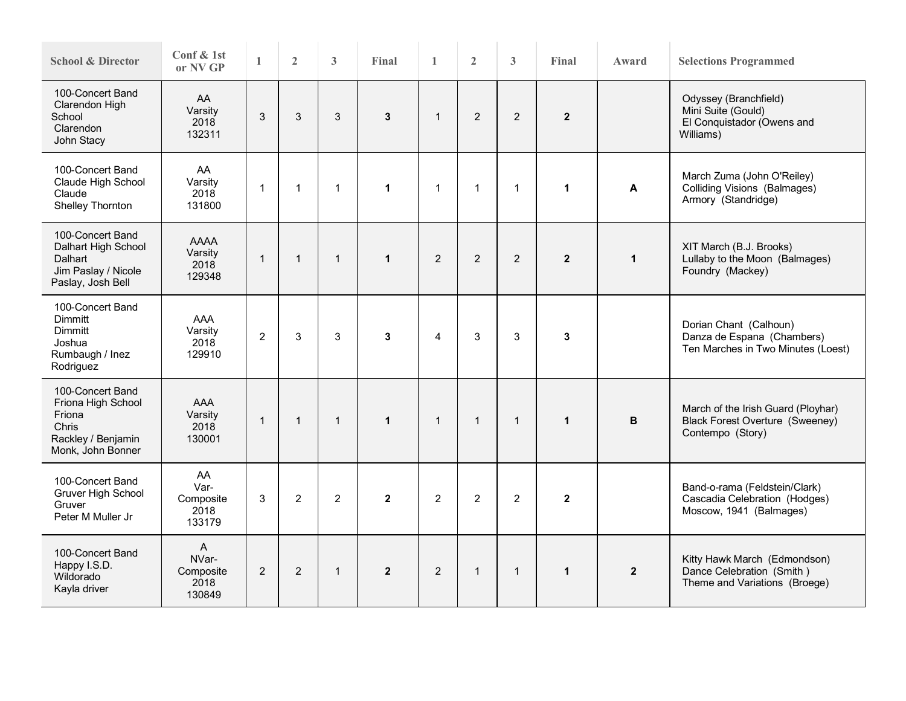| <b>School &amp; Director</b>                                                                         | Conf & 1st<br>or NV GP                                 | $\mathbf{1}$   | $\overline{2}$ | $\overline{3}$ | Final          | $\mathbf{1}$   | $\overline{2}$ | 3              | Final          | Award        | <b>Selections Programmed</b>                                                                     |  |
|------------------------------------------------------------------------------------------------------|--------------------------------------------------------|----------------|----------------|----------------|----------------|----------------|----------------|----------------|----------------|--------------|--------------------------------------------------------------------------------------------------|--|
| 100-Concert Band<br>Clarendon High<br>School<br>Clarendon<br>John Stacy                              | AA<br>Varsity<br>2018<br>132311                        | 3              | 3              | 3              | $\mathbf{3}$   | $\overline{1}$ | $\overline{2}$ | $\overline{2}$ | $\overline{2}$ |              | Odyssey (Branchfield)<br>Mini Suite (Gould)<br>El Conquistador (Owens and<br>Williams)           |  |
| 100-Concert Band<br>Claude High School<br>Claude<br>Shelley Thornton                                 | AA<br>Varsity<br>2018<br>131800                        | $\mathbf{1}$   | $\mathbf{1}$   | $\mathbf{1}$   | 1              | $\overline{1}$ | 1              | $\mathbf{1}$   | $\mathbf{1}$   | A            | March Zuma (John O'Reiley)<br><b>Colliding Visions (Balmages)</b><br>Armory (Standridge)         |  |
| 100-Concert Band<br>Dalhart High School<br>Dalhart<br>Jim Paslay / Nicole<br>Paslay, Josh Bell       | <b>AAAA</b><br>Varsity<br>2018<br>129348               | $\mathbf{1}$   | $\mathbf{1}$   | $\mathbf{1}$   | $\mathbf{1}$   | $\overline{2}$ | $\overline{2}$ | $\overline{2}$ | $\overline{2}$ | $\mathbf{1}$ | XIT March (B.J. Brooks)<br>Lullaby to the Moon (Balmages)<br>Foundry (Mackey)                    |  |
| 100-Concert Band<br><b>Dimmitt</b><br>Dimmitt<br>Joshua<br>Rumbaugh / Inez<br>Rodriguez              | <b>AAA</b><br>Varsity<br>2018<br>129910                | 2              | 3              | 3              | $\mathbf{3}$   | $\overline{4}$ | 3              | 3              | $\mathbf 3$    |              | Dorian Chant (Calhoun)<br>Danza de Espana (Chambers)<br>Ten Marches in Two Minutes (Loest)       |  |
| 100-Concert Band<br>Friona High School<br>Friona<br>Chris<br>Rackley / Benjamin<br>Monk, John Bonner | AAA<br>Varsity<br>2018<br>130001                       | $\overline{1}$ | $\mathbf{1}$   | $\mathbf{1}$   | $\mathbf{1}$   | $\overline{1}$ | $\mathbf{1}$   | $\mathbf{1}$   | $\mathbf{1}$   | B            | March of the Irish Guard (Ployhar)<br><b>Black Forest Overture (Sweeney)</b><br>Contempo (Story) |  |
| 100-Concert Band<br>Gruver High School<br>Gruver<br>Peter M Muller Jr                                | AA<br>Var-<br>Composite<br>2018<br>133179              | 3              | $\overline{2}$ | $\overline{c}$ | $\mathbf{2}$   | $\overline{2}$ | $\overline{2}$ | $\overline{2}$ | $\mathbf{2}$   |              | Band-o-rama (Feldstein/Clark)<br>Cascadia Celebration (Hodges)<br>Moscow, 1941 (Balmages)        |  |
| 100-Concert Band<br>Happy I.S.D.<br>Wildorado<br>Kayla driver                                        | $\overline{A}$<br>NVar-<br>Composite<br>2018<br>130849 | 2              | 2              | $\mathbf{1}$   | $\overline{2}$ | 2              | $\mathbf{1}$   | $\mathbf{1}$   | $\mathbf 1$    | $\mathbf{2}$ | Kitty Hawk March (Edmondson)<br>Dance Celebration (Smith)<br>Theme and Variations (Broege)       |  |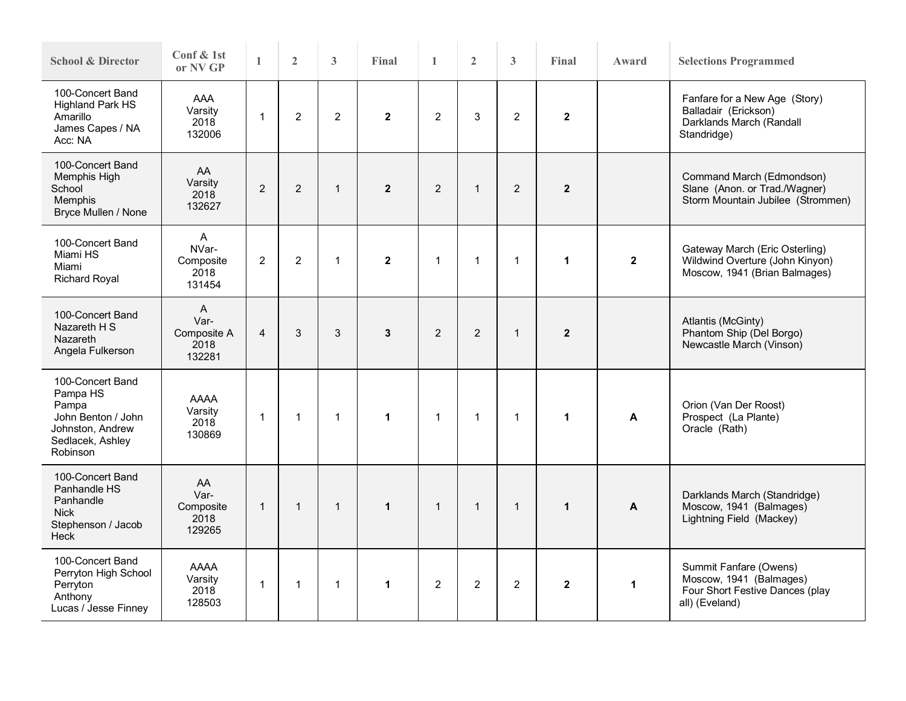| <b>School &amp; Director</b>                                                                                    | Conf & 1st<br>or NV GP                                 | $\mathbf{1}$   | $\overline{2}$ | 3              | Final          | $\mathbf{1}$   | $\overline{2}$ | 3              | Final          | Award                   | <b>Selections Programmed</b>                                                                           |  |  |
|-----------------------------------------------------------------------------------------------------------------|--------------------------------------------------------|----------------|----------------|----------------|----------------|----------------|----------------|----------------|----------------|-------------------------|--------------------------------------------------------------------------------------------------------|--|--|
| 100-Concert Band<br><b>Highland Park HS</b><br>Amarillo<br>James Capes / NA<br>Acc: NA                          | <b>AAA</b><br>Varsity<br>2018<br>132006                | $\mathbf{1}$   | $\overline{2}$ | $\overline{2}$ | $\overline{2}$ | $\overline{2}$ | 3              | $\overline{2}$ | $\mathbf{2}$   |                         | Fanfare for a New Age (Story)<br>Balladair (Erickson)<br>Darklands March (Randall<br>Standridge)       |  |  |
| 100-Concert Band<br>Memphis High<br>School<br>Memphis<br>Bryce Mullen / None                                    | AA.<br>Varsity<br>2018<br>132627                       | $\overline{2}$ | $\overline{2}$ | $\mathbf{1}$   | $\overline{2}$ | $\overline{2}$ | $\overline{1}$ | $\overline{2}$ | $\overline{2}$ |                         | Command March (Edmondson)<br>Slane (Anon. or Trad./Wagner)<br>Storm Mountain Jubilee (Strommen)        |  |  |
| 100-Concert Band<br>Miami HS<br>Miami<br><b>Richard Royal</b>                                                   | $\overline{A}$<br>NVar-<br>Composite<br>2018<br>131454 | 2              | $\overline{c}$ | $\mathbf{1}$   | $\mathbf{2}$   | $\mathbf{1}$   | $\overline{1}$ | $\mathbf{1}$   | 1              | $\overline{\mathbf{2}}$ | Gateway March (Eric Osterling)<br>Wildwind Overture (John Kinyon)<br>Moscow, 1941 (Brian Balmages)     |  |  |
| 100-Concert Band<br>Nazareth H S<br><b>Nazareth</b><br>Angela Fulkerson                                         | A<br>Var-<br>Composite A<br>2018<br>132281             | $\overline{4}$ | 3              | 3              | $\mathbf{3}$   | 2              | $\overline{2}$ | $\mathbf{1}$   | $\overline{2}$ |                         | Atlantis (McGinty)<br>Phantom Ship (Del Borgo)<br>Newcastle March (Vinson)                             |  |  |
| 100-Concert Band<br>Pampa HS<br>Pampa<br>John Benton / John<br>Johnston, Andrew<br>Sedlacek, Ashley<br>Robinson | AAAA<br>Varsity<br>2018<br>130869                      | $\mathbf{1}$   | $\mathbf{1}$   | $\mathbf{1}$   | $\mathbf{1}$   | $\mathbf{1}$   | $\overline{1}$ | $\mathbf{1}$   | $\mathbf{1}$   | A                       | Orion (Van Der Roost)<br>Prospect (La Plante)<br>Oracle (Rath)                                         |  |  |
| 100-Concert Band<br>Panhandle HS<br>Panhandle<br><b>Nick</b><br>Stephenson / Jacob<br>Heck                      | AA<br>Var-<br>Composite<br>2018<br>129265              | $\mathbf{1}$   | $\overline{1}$ | $\mathbf{1}$   | $\mathbf{1}$   | $\mathbf{1}$   | $\mathbf{1}$   | $\mathbf{1}$   | $\mathbf{1}$   | A                       | Darklands March (Standridge)<br>Moscow, 1941 (Balmages)<br>Lightning Field (Mackey)                    |  |  |
| 100-Concert Band<br>Perryton High School<br>Perryton<br>Anthony<br>Lucas / Jesse Finney                         | <b>AAAA</b><br>Varsity<br>2018<br>128503               | $\mathbf{1}$   | $\mathbf{1}$   | $\mathbf{1}$   | $\mathbf{1}$   | $\overline{c}$ | $\sqrt{2}$     | $\overline{2}$ | $\mathbf 2$    | $\mathbf{1}$            | Summit Fanfare (Owens)<br>Moscow, 1941 (Balmages)<br>Four Short Festive Dances (play<br>all) (Eveland) |  |  |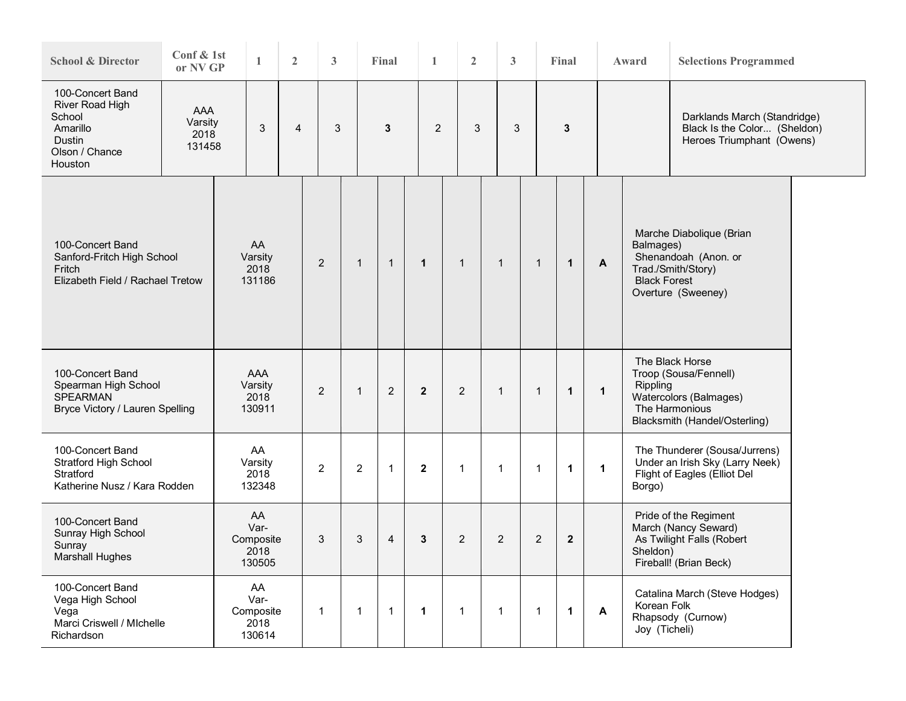| <b>School &amp; Director</b>                                                                     | Conf & 1st<br>or NV GP           | 1                                         | $\overline{2}$ | 3              |                | Final          | 1            |   | $\overline{2}$ | 3              |   |                | Final        |              | Award    | <b>Selections Programmed</b>                                                                                                      |  |  |
|--------------------------------------------------------------------------------------------------|----------------------------------|-------------------------------------------|----------------|----------------|----------------|----------------|--------------|---|----------------|----------------|---|----------------|--------------|--------------|----------|-----------------------------------------------------------------------------------------------------------------------------------|--|--|
| 100-Concert Band<br>River Road High<br>School<br>Amarillo<br>Dustin<br>Olson / Chance<br>Houston | AAA<br>Varsity<br>2018<br>131458 | 3                                         | 4              | 3              |                | 3              |              | 2 | 3              |                | 3 |                | 3            |              |          | Darklands March (Standridge)<br>Black Is the Color (Sheldon)<br>Heroes Triumphant (Owens)                                         |  |  |
| 100-Concert Band<br>Sanford-Fritch High School<br>Fritch<br>Elizabeth Field / Rachael Tretow     |                                  | AA<br>Varsity<br>2018<br>131186           |                | $\overline{2}$ | $\mathbf{1}$   | $\mathbf{1}$   | $\mathbf{1}$ |   | $\mathbf{1}$   | $\mathbf{1}$   |   | $\mathbf 1$    | $\mathbf{1}$ | A            |          | Marche Diabolique (Brian<br>Balmages)<br>Shenandoah (Anon. or<br>Trad./Smith/Story)<br><b>Black Forest</b><br>Overture (Sweeney)  |  |  |
| 100-Concert Band<br>Spearman High School<br><b>SPEARMAN</b><br>Bryce Victory / Lauren Spelling   |                                  | AAA<br>Varsity<br>2018<br>130911          |                | 2              | $\mathbf{1}$   | 2              | $\mathbf{2}$ |   | $\overline{2}$ | $\mathbf{1}$   |   | 1              | $\mathbf{1}$ | $\mathbf{1}$ |          | The Black Horse<br>Troop (Sousa/Fennell)<br>Rippling<br>Watercolors (Balmages)<br>The Harmonious<br>Blacksmith (Handel/Osterling) |  |  |
| 100-Concert Band<br><b>Stratford High School</b><br>Stratford<br>Katherine Nusz / Kara Rodden    |                                  | AA<br>Varsity<br>2018<br>132348           |                | $\overline{2}$ | $\overline{c}$ | $\mathbf{1}$   | $\mathbf{2}$ |   | $\mathbf{1}$   | $\mathbf{1}$   |   | $\mathbf{1}$   | $\mathbf{1}$ | $\mathbf{1}$ | Borgo)   | The Thunderer (Sousa/Jurrens)<br>Under an Irish Sky (Larry Neek)<br>Flight of Eagles (Elliot Del                                  |  |  |
| 100-Concert Band<br>Sunray High School<br>Sunray<br><b>Marshall Hughes</b>                       |                                  | AA<br>Var-<br>Composite<br>2018<br>130505 |                | 3              | 3              | $\overline{4}$ | 3            |   | $\overline{2}$ | $\overline{2}$ |   | $\overline{c}$ | $\mathbf{2}$ |              | Sheldon) | Pride of the Regiment<br>March (Nancy Seward)<br>As Twilight Falls (Robert<br>Fireball! (Brian Beck)                              |  |  |
| 100-Concert Band<br>Vega High School<br>Vega<br>Marci Criswell / MIchelle<br>Richardson          |                                  | AA<br>Var-<br>Composite<br>2018<br>130614 |                | $\mathbf 1$    | $\mathbf{1}$   | $\mathbf{1}$   | 1            |   | 1              | $\mathbf 1$    |   | 1              | $\mathbf{1}$ | $\mathbf{A}$ |          | Catalina March (Steve Hodges)<br>Korean Folk<br>Rhapsody (Curnow)<br>Joy (Ticheli)                                                |  |  |